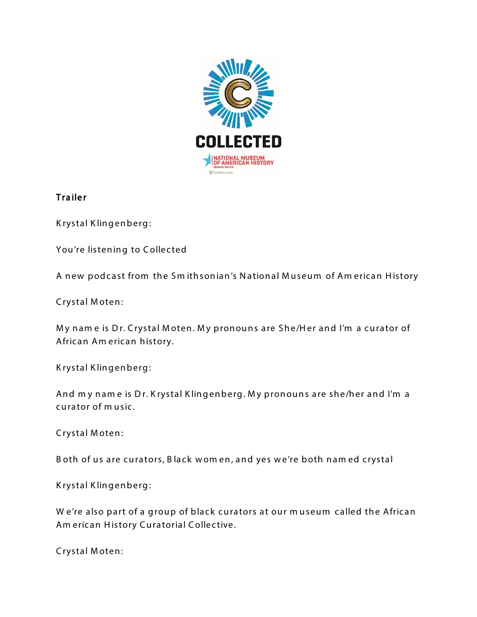

## Trailer

K rystal K lingenberg:

You're listening to Collected

A new podcast from the Smithsonian's National Museum of American History

Crystal Moten:

My name is Dr. Crystal Moten. My pronouns are She/Her and I'm a curator of African Am erican history.

K rystal K lingenberg:

And my name is Dr. Krystal Klingenberg. My pronouns are she/her and I'm a curator of m usic.

C rystal M oten :

B oth of us are curators, B lack wom en, and yes we're both named crystal

K rystal Klingenberg:

W e're also part of a group of black curators at our museum called the African Am erican History Curatorial Collective.

C rystal M oten :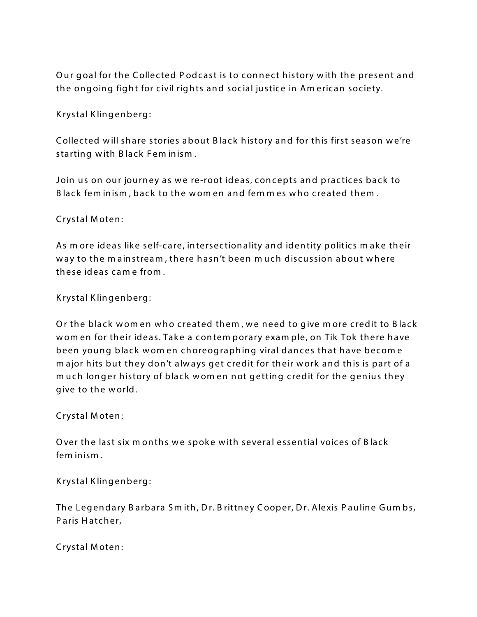Our goal for the Collected Podcast is to connect history with the present and the ongoing fight for civil rights and social justice in Am erican society.

K rystal K lingenberg:

Collected will share stories about Black history and for this first season we're starting with Black Feminism.

Join us on our journey as we re-root ideas, concepts and practices back to B lack fem inism, back to the wom en and femmes who created them.

C rystal M oten :

As more ideas like self-care, intersectionality and identity politics make their way to the mainstream, there hasn't been much discussion about where th ese id eas c am e from .

K rystal K lingenberg:

Or the black wom en who created them, we need to give more credit to Black wom en for their ideas. Take a contem porary exam ple, on Tik Tok there have been young black w om en choreographing viral dances that have becom e major hits but they don't always get credit for their work and this is part of a m uch longer history of black w om en not getting credit for the genius they give to the world.

C rystal M oten:

Over the last six m onths we spoke with several essential voices of Black fem in ism .

K rystal K lingenberg:

The Legendary Barbara Smith, Dr. Brittney Cooper, Dr. Alexis Pauline Gumbs, Paris Hatcher,

C rystal M oten: